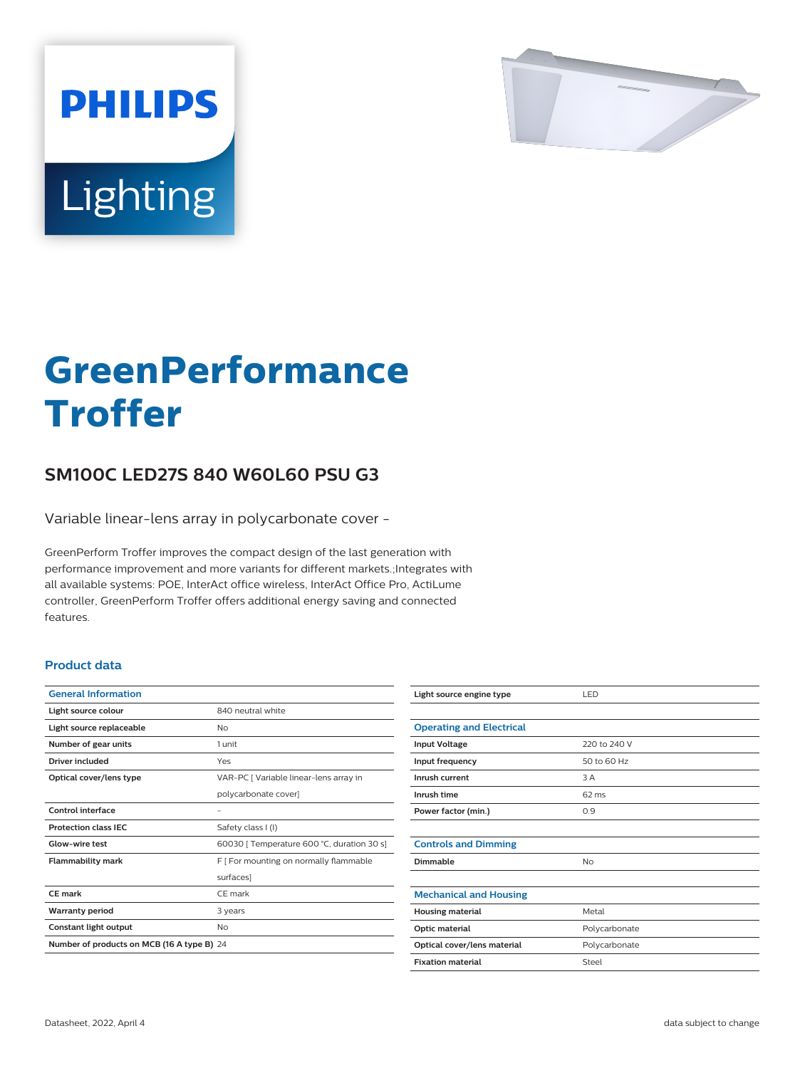

# Lighting

**PHILIPS** 

# **GreenPerformance Troffer**

## **SM100C LED27S 840 W60L60 PSU G3**

Variable linear-lens array in polycarbonate cover -

GreenPerform Troffer improves the compact design of the last generation with performance improvement and more variants for different markets.;Integrates with all available systems: POE, InterAct office wireless, InterAct Office Pro, ActiLume controller, GreenPerform Troffer offers additional energy saving and connected features.

#### **Product data**

| <b>General Information</b>                 |                                            |
|--------------------------------------------|--------------------------------------------|
| Light source colour                        | 840 neutral white                          |
| Light source replaceable                   | Nο                                         |
| Number of gear units                       | 1 unit                                     |
| Driver included                            | Yes                                        |
| Optical cover/lens type                    | VAR-PC   Variable linear-lens array in     |
|                                            | polycarbonate cover]                       |
| <b>Control interface</b>                   |                                            |
| <b>Protection class IEC</b>                | Safety class I (I)                         |
| Glow-wire test                             | 60030   Temperature 600 °C, duration 30 s] |
| <b>Flammability mark</b>                   | F   For mounting on normally flammable     |
|                                            | surfaces]                                  |
| CF mark                                    | CF mark                                    |
| <b>Warranty period</b>                     | 3 years                                    |
| Constant light output                      | No                                         |
| Number of products on MCB (16 A type B) 24 |                                            |

| Light source engine type        | LED             |
|---------------------------------|-----------------|
|                                 |                 |
| <b>Operating and Electrical</b> |                 |
| <b>Input Voltage</b>            | 220 to 240 V    |
| Input frequency                 | 50 to 60 Hz     |
| Inrush current                  | 3 A             |
| Inrush time                     | $62 \text{ ms}$ |
| Power factor (min.)             | 0.9             |
|                                 |                 |
| <b>Controls and Dimming</b>     |                 |
| Dimmable                        | No              |
|                                 |                 |
| <b>Mechanical and Housing</b>   |                 |
| <b>Housing material</b>         | Metal           |
| Optic material                  | Polycarbonate   |
| Optical cover/lens material     | Polycarbonate   |
| <b>Fixation material</b>        | Steel           |
|                                 |                 |